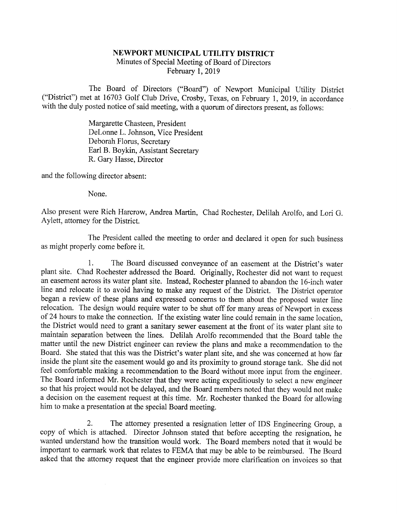## NEWPORT MUNICIPAL UTILITY DISTRICT

Minutes of Special Meeting of Board of Directors February 1, 2019

The Board of Directors ("Board") of Newport Municipal Utility District ("District") met at 16703 Golf Club Drive, Crosby, Texas, on February 1, 2019, in accordance with the duly posted notice of said meeting, with a quorum of directors present, as follows:

> Margarette Chasteen, President DeLonne L. Johnson, Vice President Deborah Florus, Secretary Earl B. Boykin, Assistant Secretary R. Gary Hasse, Director

and the following director absent:

None.

Also present were Rich Harcrow, Andrea Martin, Chad Rochester, Delilah Arolfo, and Lori G. Aylett, attorney for the District.

The President called the meeting to order and declared it open for such business as might properly come before it.

1. The Board discussed conveyance of an easement at the District's water<br>plant site. Chad Rochester addressed the Board. Originally, Rochester did not want to request<br>an easement across its water plant site. Instead, Roche line and relocate it to avoid having to make any request of the District. The District operator began a review of these plans and expressed concerns to them about the proposed water line of 24 hours to make the connection. If the existing water line could remain in the same location, the District would need to grant a sanitary sewer easement at the front of its water plant site to maintain separation betwe so that his project would not be delayed, and the Board members noted that they would not make a decision on the easement request at this time. Mr. Rochester thanked the Board for allowing him to make a presentation at the special Board meeting.

2. The attorney presented a resignation letter of IDS Engineering Group, a copy of which is attached. Director Johnson stated that before accepting the resignation, he wanted understand how the transition would work. The B important to earmark work that relates to FEMA that may be able to be reimbursed. The Board asked that the attorney request that the engineer provide more clarification on invoices so that